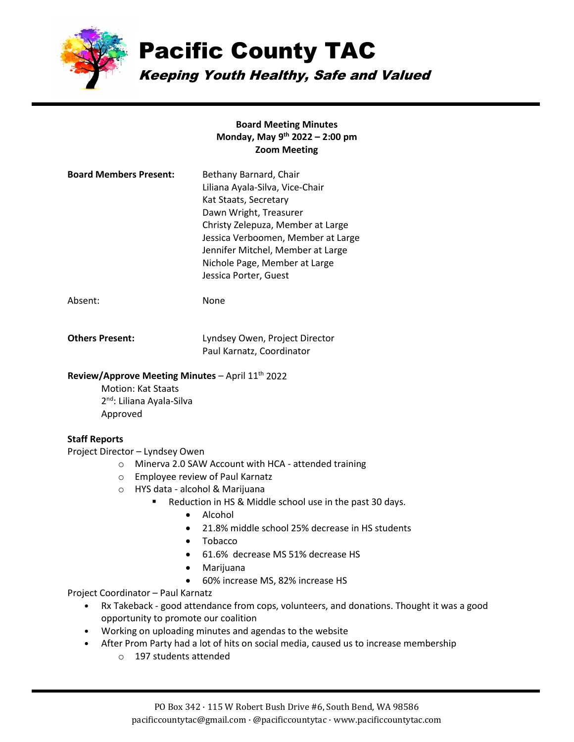

# Pacific County TAC

Keeping Youth Healthy, Safe and Valued

## **Board Meeting Minutes Monday, May 9th 2022 – 2:00 pm Zoom Meeting**

| <b>Board Members Present:</b> | Bethany Barnard, Chair<br>Liliana Ayala-Silva, Vice-Chair<br>Kat Staats, Secretary<br>Dawn Wright, Treasurer<br>Christy Zelepuza, Member at Large<br>Jessica Verboomen, Member at Large<br>Jennifer Mitchel, Member at Large |
|-------------------------------|------------------------------------------------------------------------------------------------------------------------------------------------------------------------------------------------------------------------------|
|                               | Nichole Page, Member at Large<br>Jessica Porter, Guest                                                                                                                                                                       |

Absent: None

**Others Present:** Lyndsey Owen, Project Director Paul Karnatz, Coordinator

## **Review/Approve Meeting Minutes** – April 11th 2022

Motion: Kat Staats 2<sup>nd</sup>: Liliana Ayala-Silva Approved

## **Staff Reports**

Project Director – Lyndsey Owen

- o Minerva 2.0 SAW Account with HCA attended training
- o Employee review of Paul Karnatz
- o HYS data alcohol & Marijuana
	- Reduction in HS & Middle school use in the past 30 days.
		- Alcohol
		- 21.8% middle school 25% decrease in HS students
		- Tobacco
		- 61.6% decrease MS 51% decrease HS
		- Marijuana
		- 60% increase MS, 82% increase HS

Project Coordinator – Paul Karnatz

- Rx Takeback good attendance from cops, volunteers, and donations. Thought it was a good opportunity to promote our coalition
- Working on uploading minutes and agendas to the website
- After Prom Party had a lot of hits on social media, caused us to increase membership
	- o 197 students attended